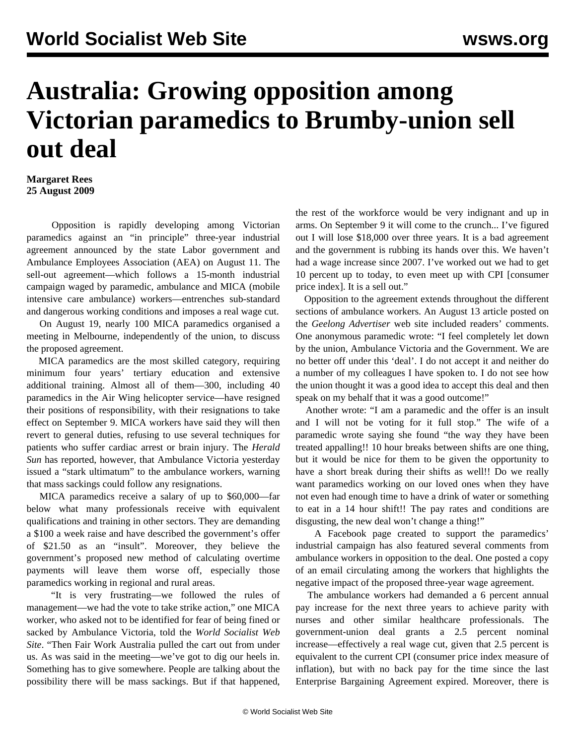## **Australia: Growing opposition among Victorian paramedics to Brumby-union sell out deal**

**Margaret Rees 25 August 2009**

 Opposition is rapidly developing among Victorian paramedics against an "in principle" three-year industrial agreement announced by the state Labor government and Ambulance Employees Association (AEA) on August 11. The sell-out agreement—which follows a 15-month industrial campaign waged by paramedic, ambulance and MICA (mobile intensive care ambulance) workers—entrenches sub-standard and dangerous working conditions and imposes a real wage cut.

 On August 19, nearly 100 MICA paramedics organised a meeting in Melbourne, independently of the union, to discuss the proposed agreement.

 MICA paramedics are the most skilled category, requiring minimum four years' tertiary education and extensive additional training. Almost all of them—300, including 40 paramedics in the Air Wing helicopter service—have resigned their positions of responsibility, with their resignations to take effect on September 9. MICA workers have said they will then revert to general duties, refusing to use several techniques for patients who suffer cardiac arrest or brain injury. The *Herald Sun* has reported, however, that Ambulance Victoria yesterday issued a "stark ultimatum" to the ambulance workers, warning that mass sackings could follow any resignations.

 MICA paramedics receive a salary of up to \$60,000—far below what many professionals receive with equivalent qualifications and training in other sectors. They are demanding a \$100 a week raise and have described the government's offer of \$21.50 as an "insult". Moreover, they believe the government's proposed new method of calculating overtime payments will leave them worse off, especially those paramedics working in regional and rural areas.

 "It is very frustrating—we followed the rules of management—we had the vote to take strike action," one MICA worker, who asked not to be identified for fear of being fined or sacked by Ambulance Victoria, told the *World Socialist Web Site*. "Then Fair Work Australia pulled the cart out from under us. As was said in the meeting—we've got to dig our heels in. Something has to give somewhere. People are talking about the possibility there will be mass sackings. But if that happened, the rest of the workforce would be very indignant and up in arms. On September 9 it will come to the crunch... I've figured out I will lose \$18,000 over three years. It is a bad agreement and the government is rubbing its hands over this. We haven't had a wage increase since 2007. I've worked out we had to get 10 percent up to today, to even meet up with CPI [consumer price index]. It is a sell out."

 Opposition to the agreement extends throughout the different sections of ambulance workers. An August 13 article posted on the *Geelong Advertiser* web site included readers' comments. One anonymous paramedic wrote: "I feel completely let down by the union, Ambulance Victoria and the Government. We are no better off under this 'deal'. I do not accept it and neither do a number of my colleagues I have spoken to. I do not see how the union thought it was a good idea to accept this deal and then speak on my behalf that it was a good outcome!"

 Another wrote: "I am a paramedic and the offer is an insult and I will not be voting for it full stop." The wife of a paramedic wrote saying she found "the way they have been treated appalling!! 10 hour breaks between shifts are one thing, but it would be nice for them to be given the opportunity to have a short break during their shifts as well!! Do we really want paramedics working on our loved ones when they have not even had enough time to have a drink of water or something to eat in a 14 hour shift!! The pay rates and conditions are disgusting, the new deal won't change a thing!"

 A Facebook page created to support the paramedics' industrial campaign has also featured several comments from ambulance workers in opposition to the deal. One posted a copy of an email circulating among the workers that highlights the negative impact of the proposed three-year wage agreement.

 The ambulance workers had demanded a 6 percent annual pay increase for the next three years to achieve parity with nurses and other similar healthcare professionals. The government-union deal grants a 2.5 percent nominal increase—effectively a real wage cut, given that 2.5 percent is equivalent to the current CPI (consumer price index measure of inflation), but with no back pay for the time since the last Enterprise Bargaining Agreement expired. Moreover, there is